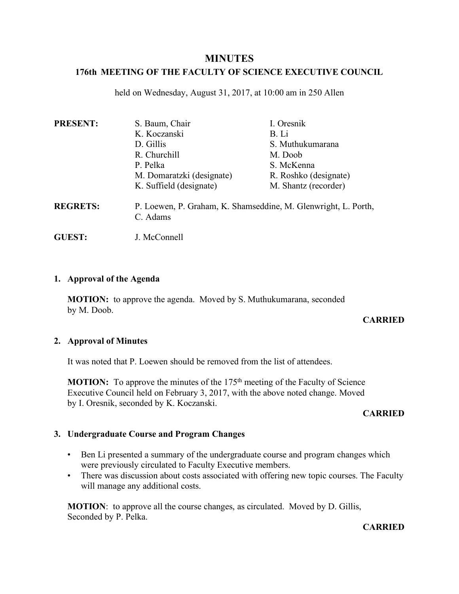# **MINUTES**

# **176th MEETING OF THE FACULTY OF SCIENCE EXECUTIVE COUNCIL**

held on Wednesday, August 31, 2017, at 10:00 am in 250 Allen

| <b>PRESENT:</b> | S. Baum, Chair                                                             | I. Oresnik            |
|-----------------|----------------------------------------------------------------------------|-----------------------|
|                 | K. Koczanski                                                               | B. Li                 |
|                 | D. Gillis                                                                  | S. Muthukumarana      |
|                 | R. Churchill                                                               | M. Doob               |
|                 | P. Pelka                                                                   | S. McKenna            |
|                 | M. Domaratzki (designate)                                                  | R. Roshko (designate) |
|                 | K. Suffield (designate)                                                    | M. Shantz (recorder)  |
| <b>REGRETS:</b> | P. Loewen, P. Graham, K. Shamseddine, M. Glenwright, L. Porth,<br>C. Adams |                       |
|                 |                                                                            |                       |

**GUEST:** J. McConnell

### **1. Approval of the Agenda**

**MOTION:** to approve the agenda. Moved by S. Muthukumarana, seconded by M. Doob.

## **CARRIED**

## **2. Approval of Minutes**

It was noted that P. Loewen should be removed from the list of attendees.

**MOTION:** To approve the minutes of the 175<sup>th</sup> meeting of the Faculty of Science Executive Council held on February 3, 2017, with the above noted change. Moved by I. Oresnik, seconded by K. Koczanski.

#### **CARRIED**

## **3. Undergraduate Course and Program Changes**

- Ben Li presented a summary of the undergraduate course and program changes which were previously circulated to Faculty Executive members.
- There was discussion about costs associated with offering new topic courses. The Faculty will manage any additional costs.

**MOTION**: to approve all the course changes, as circulated. Moved by D. Gillis, Seconded by P. Pelka.

#### **CARRIED**